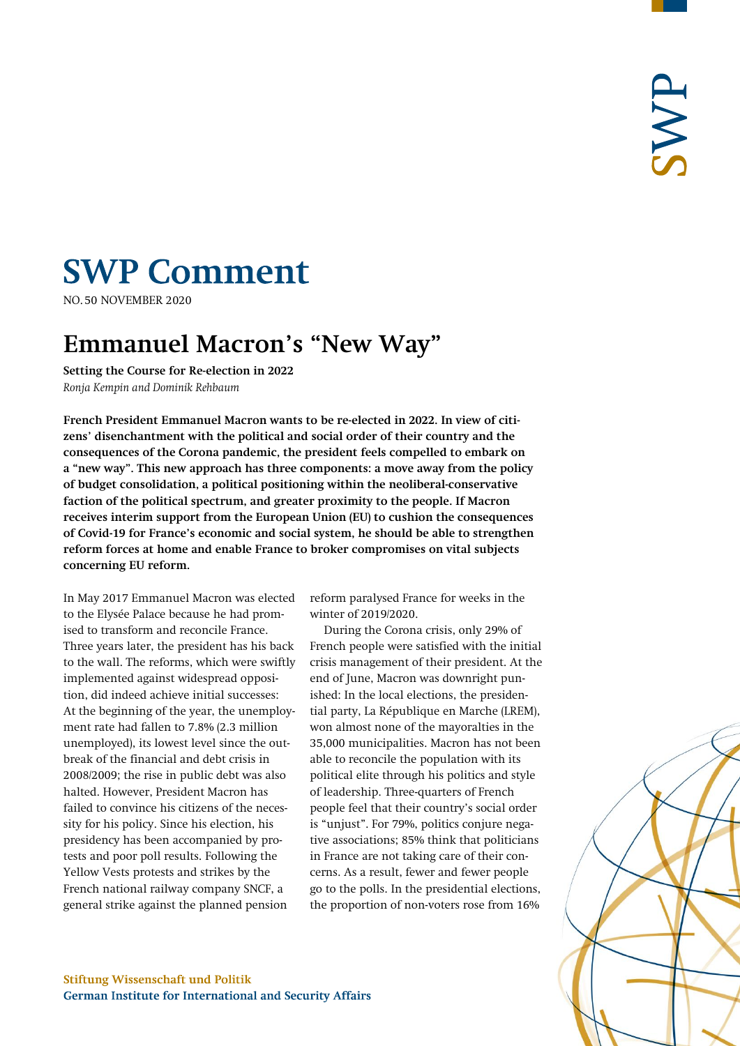# **SWP Comment**

**NO.50 NOVEMBER 2020** 

# **Emmanuel Macron's "New Way"**

**Setting the Course for Re-election in 2022** *Ronja Kempin and Dominik Rehbaum*

**French President Emmanuel Macron wants to be re-elected in 2022. In view of citizens' disenchantment with the political and social order of their country and the consequences of the Corona pandemic, the president feels compelled to embark on a "new way". This new approach has three components: a move away from the policy of budget consolidation, a political positioning within the neoliberal-conservative faction of the political spectrum, and greater proximity to the people. If Macron receives interim support from the European Union (EU) to cushion the consequences of Covid-19 for France's economic and social system, he should be able to strengthen reform forces at home and enable France to broker compromises on vital subjects concerning EU reform.**

In May 2017 Emmanuel Macron was elected to the Elysée Palace because he had promised to transform and reconcile France. Three years later, the president has his back to the wall. The reforms, which were swiftly implemented against widespread opposition, did indeed achieve initial successes: At the beginning of the year, the unemployment rate had fallen to 7.8% (2.3 million unemployed), its lowest level since the outbreak of the financial and debt crisis in 2008/2009; the rise in public debt was also halted. However, President Macron has failed to convince his citizens of the necessity for his policy. Since his election, his presidency has been accompanied by protests and poor poll results. Following the Yellow Vests protests and strikes by the French national railway company SNCF, a general strike against the planned pension

reform paralysed France for weeks in the winter of 2019/2020.

During the Corona crisis, only 29% of French people were satisfied with the initial crisis management of their president. At the end of June, Macron was downright punished: In the local elections, the presidential party, La République en Marche (LREM), won almost none of the mayoralties in the 35,000 municipalities. Macron has not been able to reconcile the population with its political elite through his politics and style of leadership. Three-quarters of French people feel that their country's social order is "unjust". For 79%, politics conjure negative associations; 85% think that politicians in France are not taking care of their concerns. As a result, fewer and fewer people go to the polls. In the presidential elections, the proportion of non-voters rose from 16%

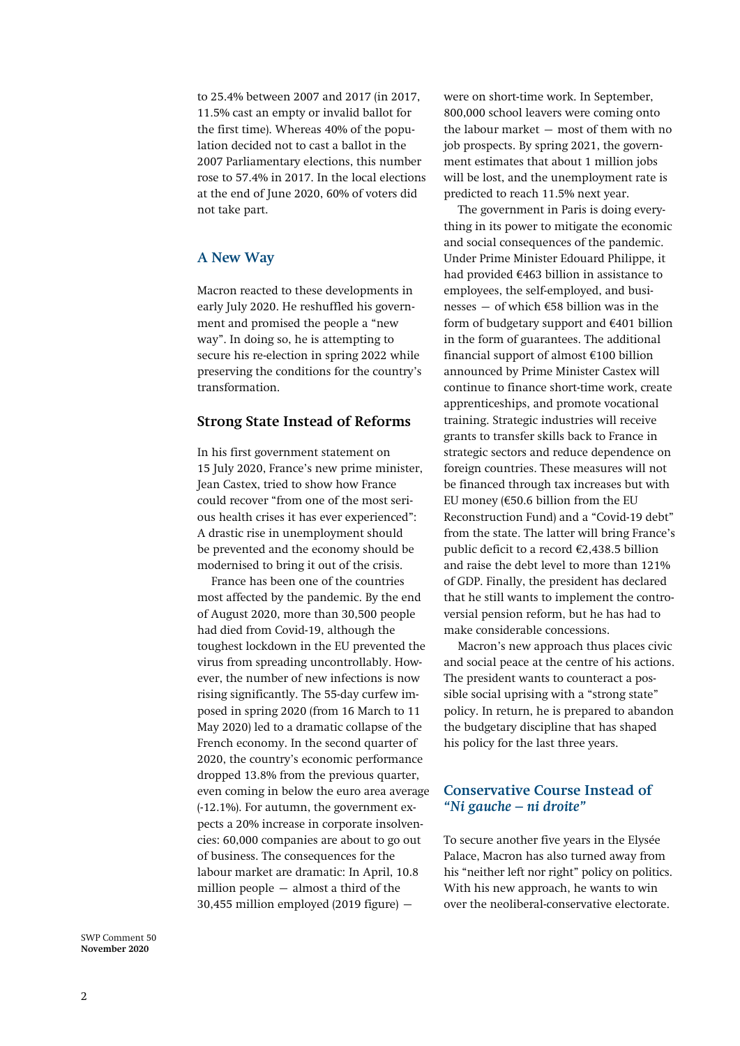to 25.4% between 2007 and 2017 (in 2017, 11.5% cast an empty or invalid ballot for the first time). Whereas 40% of the population decided not to cast a ballot in the 2007 Parliamentary elections, this number rose to 57.4% in 2017. In the local elections at the end of June 2020, 60% of voters did not take part.

# **A New Way**

Macron reacted to these developments in early July 2020. He reshuffled his government and promised the people a "new way". In doing so, he is attempting to secure his re-election in spring 2022 while preserving the conditions for the country's transformation.

#### **Strong State Instead of Reforms**

In his first government statement on 15 July 2020, France's new prime minister, Jean Castex, tried to show how France could recover "from one of the most serious health crises it has ever experienced": A drastic rise in unemployment should be prevented and the economy should be modernised to bring it out of the crisis.

France has been one of the countries most affected by the pandemic. By the end of August 2020, more than 30,500 people had died from Covid-19, although the toughest lockdown in the EU prevented the virus from spreading uncontrollably. However, the number of new infections is now rising significantly. The 55-day curfew imposed in spring 2020 (from 16 March to 11 May 2020) led to a dramatic collapse of the French economy. In the second quarter of 2020, the country's economic performance dropped 13.8% from the previous quarter, even coming in below the euro area average (-12.1%). For autumn, the government expects a 20% increase in corporate insolvencies: 60,000 companies are about to go out of business. The consequences for the labour market are dramatic: In April, 10.8 million people – almost a third of the  $30,455$  million employed (2019 figure)  $-$ 

were on short-time work. In September, 800,000 school leavers were coming onto the labour market – most of them with no job prospects. By spring 2021, the government estimates that about 1 million jobs will be lost, and the unemployment rate is predicted to reach 11.5% next year.

The government in Paris is doing everything in its power to mitigate the economic and social consequences of the pandemic. Under Prime Minister Edouard Philippe, it had provided €463 billion in assistance to employees, the self-employed, and businesses – of which €58 billion was in the form of budgetary support and  $€401$  billion in the form of guarantees. The additional financial support of almost €100 billion announced by Prime Minister Castex will continue to finance short-time work, create apprenticeships, and promote vocational training. Strategic industries will receive grants to transfer skills back to France in strategic sectors and reduce dependence on foreign countries. These measures will not be financed through tax increases but with EU money ( $€50.6$  billion from the EU Reconstruction Fund) and a "Covid-19 debt" from the state. The latter will bring France's public deficit to a record €2,438.5 billion and raise the debt level to more than 121% of GDP. Finally, the president has declared that he still wants to implement the controversial pension reform, but he has had to make considerable concessions.

Macron's new approach thus places civic and social peace at the centre of his actions. The president wants to counteract a possible social uprising with a "strong state" policy. In return, he is prepared to abandon the budgetary discipline that has shaped his policy for the last three years.

# **Conservative Course Instead of**  *"Ni gauche – ni droite"*

To secure another five years in the Elysée Palace, Macron has also turned away from his "neither left nor right" policy on politics. With his new approach, he wants to win over the neoliberal-conservative electorate.

SWP Comment 50 **November 2020**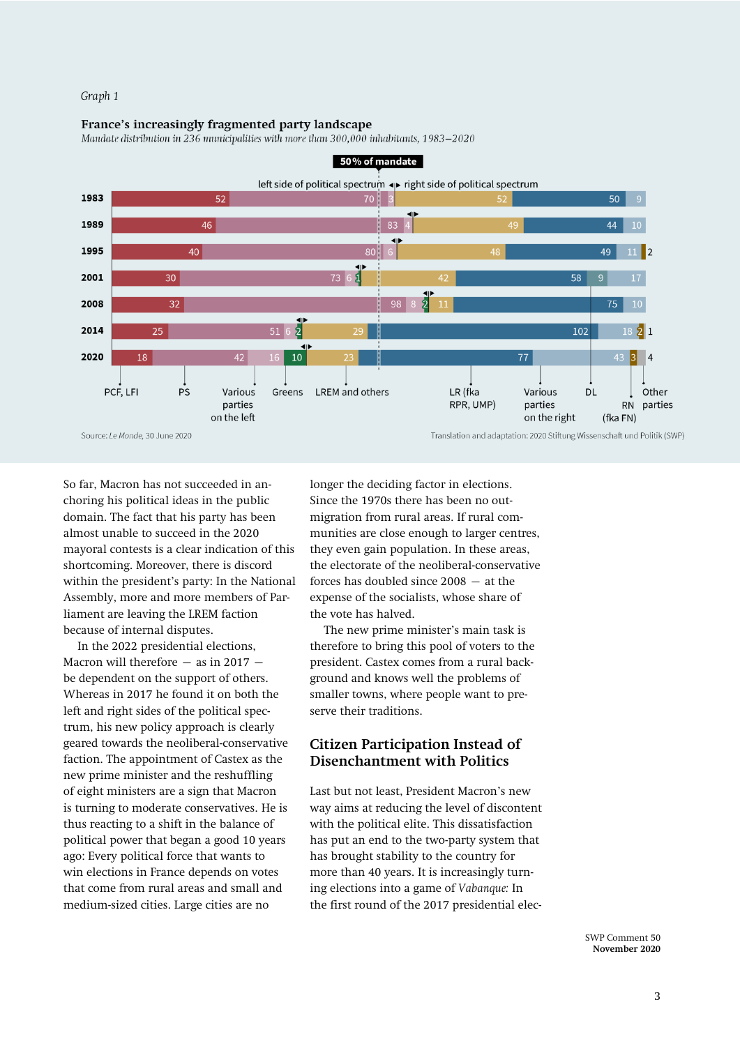#### *Graph 1*

#### France's increasingly fragmented party landscape

Mandate distribution in 236 municipalities with more than 300,000 inhabitants, 1983-2020



So far, Macron has not succeeded in anchoring his political ideas in the public domain. The fact that his party has been almost unable to succeed in the 2020 mayoral contests is a clear indication of this shortcoming. Moreover, there is discord within the president's party: In the National Assembly, more and more members of Parliament are leaving the LREM faction because of internal disputes.

In the 2022 presidential elections, Macron will therefore  $-$  as in 2017  $$ be dependent on the support of others. Whereas in 2017 he found it on both the left and right sides of the political spectrum, his new policy approach is clearly geared towards the neoliberal-conservative faction. The appointment of Castex as the new prime minister and the reshuffling of eight ministers are a sign that Macron is turning to moderate conservatives. He is thus reacting to a shift in the balance of political power that began a good 10 years ago: Every political force that wants to win elections in France depends on votes that come from rural areas and small and medium-sized cities. Large cities are no

longer the deciding factor in elections. Since the 1970s there has been no outmigration from rural areas. If rural communities are close enough to larger centres, they even gain population. In these areas, the electorate of the neoliberal-conservative forces has doubled since 2008 – at the expense of the socialists, whose share of the vote has halved.

The new prime minister's main task is therefore to bring this pool of voters to the president. Castex comes from a rural background and knows well the problems of smaller towns, where people want to preserve their traditions.

# **Citizen Participation Instead of Disenchantment with Politics**

Last but not least, President Macron's new way aims at reducing the level of discontent with the political elite. This dissatisfaction has put an end to the two-party system that has brought stability to the country for more than 40 years. It is increasingly turning elections into a game of *Vabanque:* In the first round of the 2017 presidential elec-

> SWP Comment 50 **November 2020**